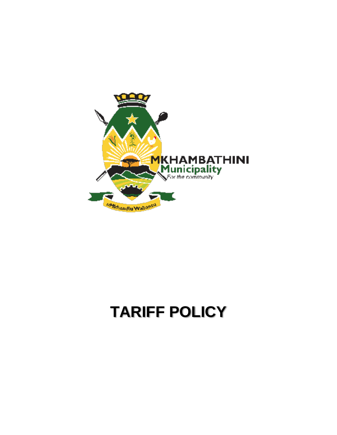

# **TARIFF POLICY**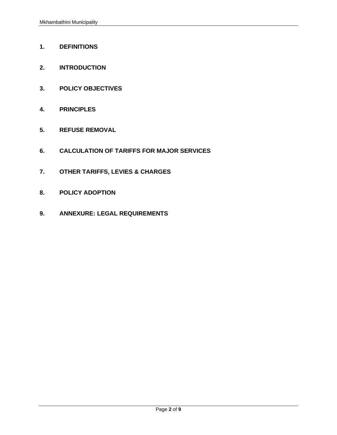- **1. DEFINITIONS**
- **2. INTRODUCTION**
- **3. POLICY OBJECTIVES**
- **4. PRINCIPLES**
- **5. REFUSE REMOVAL**
- **6. CALCULATION OF TARIFFS FOR MAJOR SERVICES**
- **7. OTHER TARIFFS, LEVIES & CHARGES**
- **8. POLICY ADOPTION**
- **9. ANNEXURE: LEGAL REQUIREMENTS**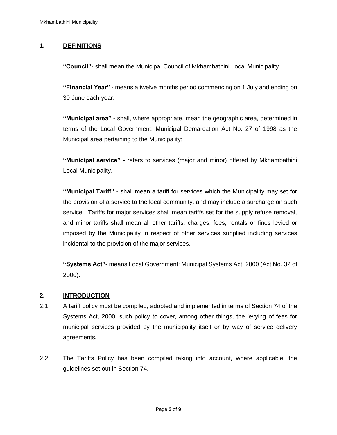## **1. DEFINITIONS**

**"Council"-** shall mean the Municipal Council of Mkhambathini Local Municipality.

**"Financial Year" -** means a twelve months period commencing on 1 July and ending on 30 June each year.

**"Municipal area" -** shall, where appropriate, mean the geographic area, determined in terms of the Local Government: Municipal Demarcation Act No. 27 of 1998 as the Municipal area pertaining to the Municipality;

**"Municipal service" -** refers to services (major and minor) offered by Mkhambathini Local Municipality.

**"Municipal Tariff" -** shall mean a tariff for services which the Municipality may set for the provision of a service to the local community, and may include a surcharge on such service. Tariffs for major services shall mean tariffs set for the supply refuse removal, and minor tariffs shall mean all other tariffs, charges, fees, rentals or fines levied or imposed by the Municipality in respect of other services supplied including services incidental to the provision of the major services.

**"Systems Act"**- means Local Government: Municipal Systems Act, 2000 (Act No. 32 of 2000).

## **2. INTRODUCTION**

- 2.1 A tariff policy must be compiled, adopted and implemented in terms of Section 74 of the Systems Act, 2000, such policy to cover, among other things, the levying of fees for municipal services provided by the municipality itself or by way of service delivery agreements**.**
- 2.2 The Tariffs Policy has been compiled taking into account, where applicable, the guidelines set out in Section 74.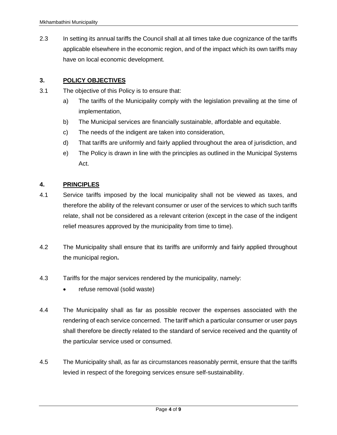2.3 In setting its annual tariffs the Council shall at all times take due cognizance of the tariffs applicable elsewhere in the economic region, and of the impact which its own tariffs may have on local economic development.

## **3. POLICY OBJECTIVES**

- 3.1 The objective of this Policy is to ensure that:
	- a) The tariffs of the Municipality comply with the legislation prevailing at the time of implementation,
	- b) The Municipal services are financially sustainable, affordable and equitable.
	- c) The needs of the indigent are taken into consideration,
	- d) That tariffs are uniformly and fairly applied throughout the area of jurisdiction, and
	- e) The Policy is drawn in line with the principles as outlined in the Municipal Systems Act.

## **4. PRINCIPLES**

- 4.1 Service tariffs imposed by the local municipality shall not be viewed as taxes, and therefore the ability of the relevant consumer or user of the services to which such tariffs relate, shall not be considered as a relevant criterion (except in the case of the indigent relief measures approved by the municipality from time to time).
- 4.2 The Municipality shall ensure that its tariffs are uniformly and fairly applied throughout the municipal region**.**
- 4.3 Tariffs for the major services rendered by the municipality, namely:
	- refuse removal (solid waste)
- 4.4 The Municipality shall as far as possible recover the expenses associated with the rendering of each service concerned. The tariff which a particular consumer or user pays shall therefore be directly related to the standard of service received and the quantity of the particular service used or consumed.
- 4.5 The Municipality shall, as far as circumstances reasonably permit, ensure that the tariffs levied in respect of the foregoing services ensure self-sustainability.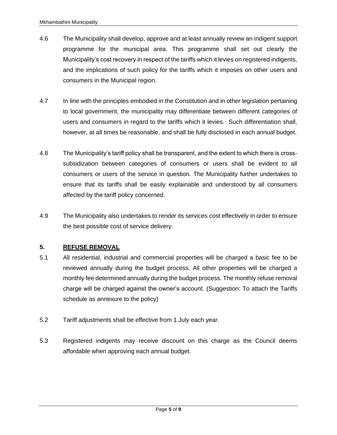- 4.6 The Municipality shall develop, approve and at least annually review an indigent support programme for the municipal area. This programme shall set out clearly the Municipality's cost recovery in respect of the tariffs which it levies on registered indigents, and the implications of such policy for the tariffs which it imposes on other users and consumers in the Municipal region.
- 4.7 In line with the principles embodied in the Constitution and in other legislation pertaining to local government, the municipality may differentiate between different categories of users and consumers in regard to the tariffs which it levies. Such differentiation shall, however, at all times be reasonable, and shall be fully disclosed in each annual budget.
- 4.8 The Municipality's tariff policy shall be transparent, and the extent to which there is crosssubsidization between categories of consumers or users shall be evident to all consumers or users of the service in question. The Municipality further undertakes to ensure that its tariffs shall be easily explainable and understood by all consumers affected by the tariff policy concerned.
- 4.9 The Municipality also undertakes to render its services cost effectively in order to ensure the best possible cost of service delivery.

## **5. REFUSE REMOVAL**

- 5.1 All residential, industrial and commercial properties will be charged a basic fee to be reviewed annually during the budget process. All other properties will be charged a monthly fee determined annually during the budget process. The monthly refuse removal charge will be charged against the owner's account. (Suggestion: To attach the Tariffs schedule as annexure to the policy)
- 5.2 Tariff adjustments shall be effective from 1 July each year.
- 5.3 Registered indigents may receive discount on this charge as the Council deems affordable when approving each annual budget.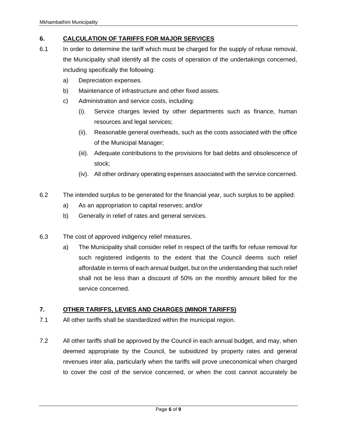## **6. CALCULATION OF TARIFFS FOR MAJOR SERVICES**

- 6.1 In order to determine the tariff which must be charged for the supply of refuse removal, the Municipality shall identify all the costs of operation of the undertakings concerned, including specifically the following:
	- a) Depreciation expenses.
	- b) Maintenance of infrastructure and other fixed assets.
	- c) Administration and service costs, including:
		- (i). Service charges levied by other departments such as finance, human resources and legal services;
		- (ii). Reasonable general overheads, such as the costs associated with the office of the Municipal Manager;
		- (iii). Adequate contributions to the provisions for bad debts and obsolescence of stock;
		- (iv). All other ordinary operating expenses associated with the service concerned.
- 6.2 The intended surplus to be generated for the financial year, such surplus to be applied:
	- a) As an appropriation to capital reserves; and/or
	- b) Generally in relief of rates and general services.
- 6.3 The cost of approved indigency relief measures.
	- a) The Municipality shall consider relief in respect of the tariffs for refuse removal for such registered indigents to the extent that the Council deems such relief affordable in terms of each annual budget, but on the understanding that such relief shall not be less than a discount of 50% on the monthly amount billed for the service concerned.

# **7. OTHER TARIFFS, LEVIES AND CHARGES (MINOR TARIFFS)**

- 7.1 All other tariffs shall be standardized within the municipal region.
- 7.2 All other tariffs shall be approved by the Council in each annual budget, and may, when deemed appropriate by the Council, be subsidized by property rates and general revenues inter alia, particularly when the tariffs will prove uneconomical when charged to cover the cost of the service concerned, or when the cost cannot accurately be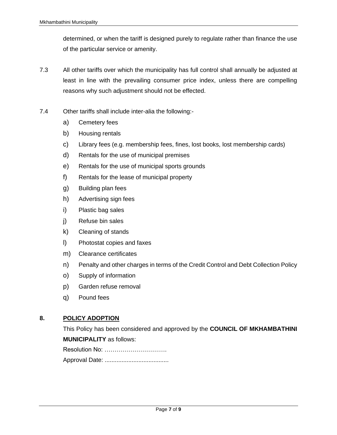determined, or when the tariff is designed purely to regulate rather than finance the use of the particular service or amenity.

- 7.3 All other tariffs over which the municipality has full control shall annually be adjusted at least in line with the prevailing consumer price index, unless there are compelling reasons why such adjustment should not be effected.
- 7.4 Other tariffs shall include inter-alia the following:
	- a) Cemetery fees
	- b) Housing rentals
	- c) Library fees (e.g. membership fees, fines, lost books, lost membership cards)
	- d) Rentals for the use of municipal premises
	- e) Rentals for the use of municipal sports grounds
	- f) Rentals for the lease of municipal property
	- g) Building plan fees
	- h) Advertising sign fees
	- i) Plastic bag sales
	- j) Refuse bin sales
	- k) Cleaning of stands
	- l) Photostat copies and faxes
	- m) Clearance certificates
	- n) Penalty and other charges in terms of the Credit Control and Debt Collection Policy
	- o) Supply of information
	- p) Garden refuse removal
	- q) Pound fees

## **8. POLICY ADOPTION**

This Policy has been considered and approved by the **COUNCIL OF MKHAMBATHINI MUNICIPALITY** as follows:

| Resolution No: |
|----------------|
|                |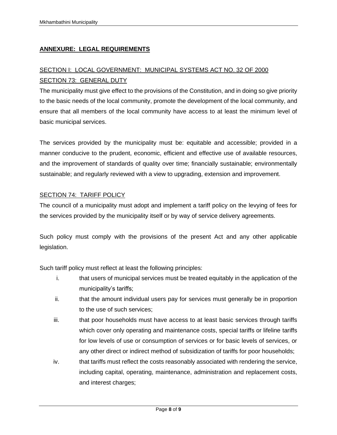## **ANNEXURE: LEGAL REQUIREMENTS**

# SECTION I: LOCAL GOVERNMENT: MUNICIPAL SYSTEMS ACT NO. 32 OF 2000 SECTION 73: GENERAL DUTY

The municipality must give effect to the provisions of the Constitution, and in doing so give priority to the basic needs of the local community, promote the development of the local community, and ensure that all members of the local community have access to at least the minimum level of basic municipal services.

The services provided by the municipality must be: equitable and accessible; provided in a manner conducive to the prudent, economic, efficient and effective use of available resources, and the improvement of standards of quality over time; financially sustainable; environmentally sustainable; and regularly reviewed with a view to upgrading, extension and improvement.

## SECTION 74: TARIFF POLICY

The council of a municipality must adopt and implement a tariff policy on the levying of fees for the services provided by the municipality itself or by way of service delivery agreements.

Such policy must comply with the provisions of the present Act and any other applicable legislation.

Such tariff policy must reflect at least the following principles:

- i. that users of municipal services must be treated equitably in the application of the municipality's tariffs;
- ii. that the amount individual users pay for services must generally be in proportion to the use of such services;
- iii. that poor households must have access to at least basic services through tariffs which cover only operating and maintenance costs, special tariffs or lifeline tariffs for low levels of use or consumption of services or for basic levels of services, or any other direct or indirect method of subsidization of tariffs for poor households;
- iv. that tariffs must reflect the costs reasonably associated with rendering the service, including capital, operating, maintenance, administration and replacement costs, and interest charges;